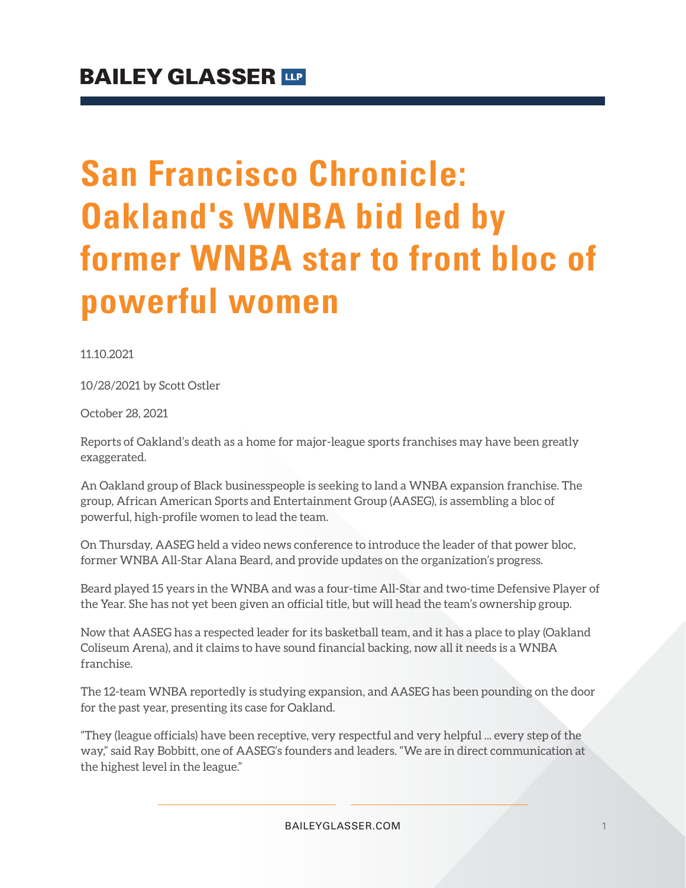# **San Francisco Chronicle: Oakland's WNBA bid led by former WNBA star to front bloc of powerful women**

11.10.2021

10/28/2021 by Scott Ostler

October 28, 2021

Reports of Oakland's death as a home for major-league sports franchises may have been greatly exaggerated.

An Oakland group of Black businesspeople is seeking to land a WNBA expansion franchise. The group, African American Sports and Entertainment Group (AASEG), is assembling a bloc of powerful, high-profile women to lead the team.

On Thursday, AASEG held a video news conference to introduce the leader of that power bloc, former WNBA All-Star Alana Beard, and provide updates on the organization's progress.

Beard played 15 years in the WNBA and was a four-time All-Star and two-time Defensive Player of the Year. She has not yet been given an official title, but will head the team's ownership group.

Now that AASEG has a respected leader for its basketball team, and it has a place to play (Oakland Coliseum Arena), and it claims to have sound financial backing, now all it needs is a WNBA franchise.

The 12-team WNBA reportedly is studying expansion, and AASEG has been pounding on the door for the past year, presenting its case for Oakland.

"They (league officials) have been receptive, very respectful and very helpful ... every step of the way," said Ray Bobbitt, one of AASEG's founders and leaders. "We are in direct communication at the highest level in the league."